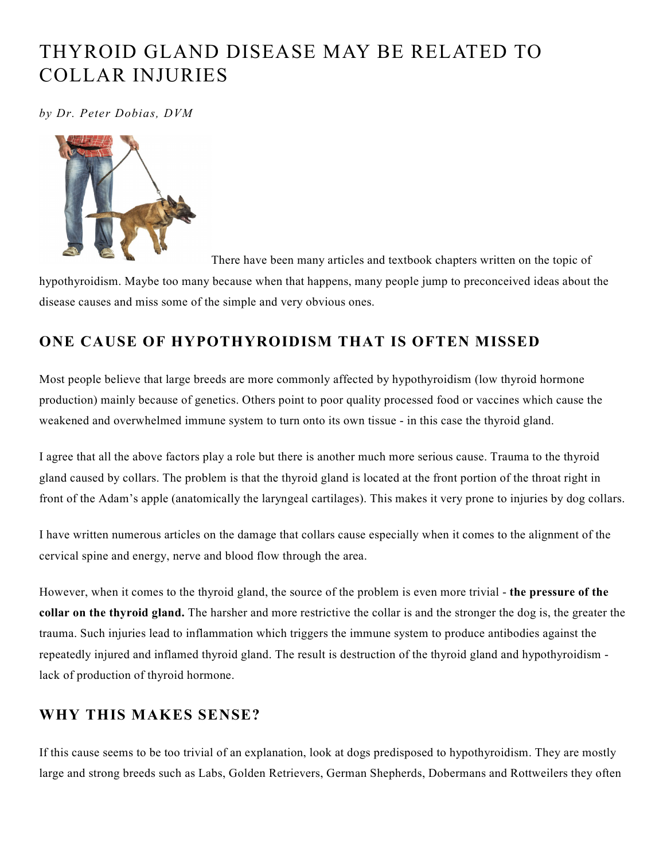## THYROID GLAND DISEASE MAY BE RELATED TO COLLAR INJURIES

*by Dr. Peter Dobias, DVM*



There have been many articles and textbook chapters written on the topic of

hypothyroidism. Maybe too many because when that happens, many people jump to preconceived ideas about the disease causes and miss some of the simple and very obvious ones.

## **ONE CAUSE OF HYPOTHYROIDISM THAT IS OFTEN MISSED**

Most people believe that large breeds are more commonly affected by hypothyroidism (low thyroid hormone production) mainly because of genetics. Others point to poor quality processed food or vaccines which cause the weakened and overwhelmed immune system to turn onto its own tissue - in this case the thyroid gland.

I agree that all the above factors play a role but there is another much more serious cause. Trauma to the thyroid gland caused by collars. The problem is that the thyroid gland is located at the front portion of the throat right in front of the Adam's apple (anatomically the laryngeal cartilages). This makes it very prone to injuries by dog collars.

I have written numerous articles on the damage that collars cause especially when it comes to the alignment of the cervical spine and energy, nerve and blood flow through the area.

However, when it comes to the thyroid gland, the source of the problem is even more trivial - **the pressure of the collar on the thyroid gland.** The harsher and more restrictive the collar is and the stronger the dog is, the greater the trauma. Such injuries lead to inflammation which triggers the immune system to produce antibodies against the repeatedly injured and inflamed thyroid gland. The result is destruction of the thyroid gland and hypothyroidism lack of production of thyroid hormone.

## **WHY THIS MAKES SENSE?**

If this cause seems to be too trivial of an explanation, look at dogs predisposed to hypothyroidism. They are mostly large and strong breeds such as Labs, Golden Retrievers, German Shepherds, Dobermans and Rottweilers they often